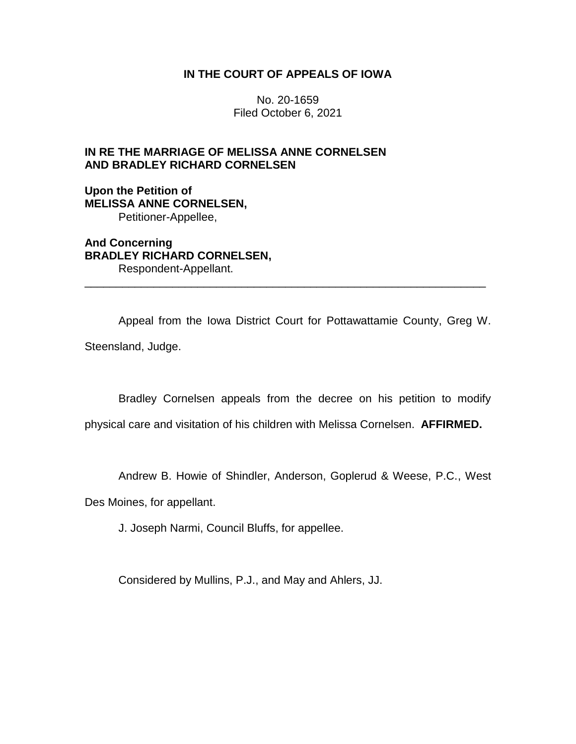## **IN THE COURT OF APPEALS OF IOWA**

No. 20-1659 Filed October 6, 2021

## **IN RE THE MARRIAGE OF MELISSA ANNE CORNELSEN AND BRADLEY RICHARD CORNELSEN**

**Upon the Petition of MELISSA ANNE CORNELSEN,** Petitioner-Appellee,

**And Concerning BRADLEY RICHARD CORNELSEN,** Respondent-Appellant.

Appeal from the Iowa District Court for Pottawattamie County, Greg W.

\_\_\_\_\_\_\_\_\_\_\_\_\_\_\_\_\_\_\_\_\_\_\_\_\_\_\_\_\_\_\_\_\_\_\_\_\_\_\_\_\_\_\_\_\_\_\_\_\_\_\_\_\_\_\_\_\_\_\_\_\_\_\_\_

Steensland, Judge.

Bradley Cornelsen appeals from the decree on his petition to modify

physical care and visitation of his children with Melissa Cornelsen. **AFFIRMED.**

Andrew B. Howie of Shindler, Anderson, Goplerud & Weese, P.C., West

Des Moines, for appellant.

J. Joseph Narmi, Council Bluffs, for appellee.

Considered by Mullins, P.J., and May and Ahlers, JJ.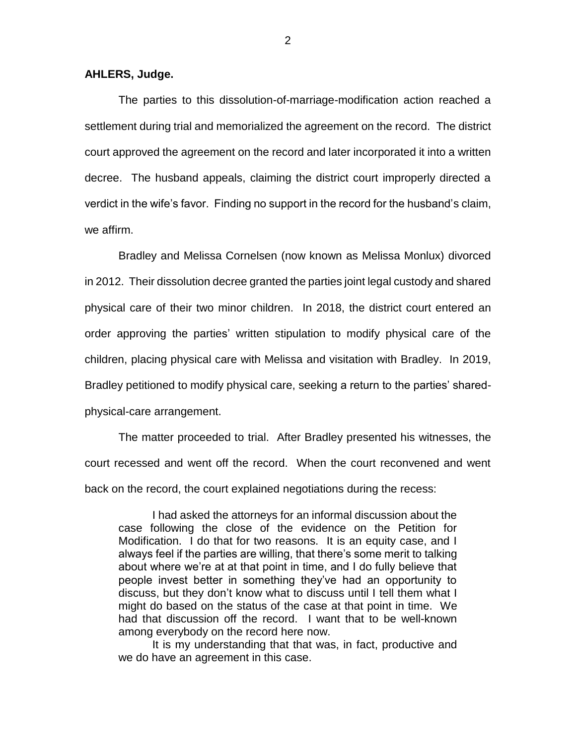## **AHLERS, Judge.**

The parties to this dissolution-of-marriage-modification action reached a settlement during trial and memorialized the agreement on the record. The district court approved the agreement on the record and later incorporated it into a written decree. The husband appeals, claiming the district court improperly directed a verdict in the wife's favor. Finding no support in the record for the husband's claim, we affirm.

Bradley and Melissa Cornelsen (now known as Melissa Monlux) divorced in 2012. Their dissolution decree granted the parties joint legal custody and shared physical care of their two minor children. In 2018, the district court entered an order approving the parties' written stipulation to modify physical care of the children, placing physical care with Melissa and visitation with Bradley. In 2019, Bradley petitioned to modify physical care, seeking a return to the parties' sharedphysical-care arrangement.

The matter proceeded to trial. After Bradley presented his witnesses, the court recessed and went off the record. When the court reconvened and went back on the record, the court explained negotiations during the recess:

I had asked the attorneys for an informal discussion about the case following the close of the evidence on the Petition for Modification. I do that for two reasons. It is an equity case, and I always feel if the parties are willing, that there's some merit to talking about where we're at at that point in time, and I do fully believe that people invest better in something they've had an opportunity to discuss, but they don't know what to discuss until I tell them what I might do based on the status of the case at that point in time. We had that discussion off the record. I want that to be well-known among everybody on the record here now.

It is my understanding that that was, in fact, productive and we do have an agreement in this case.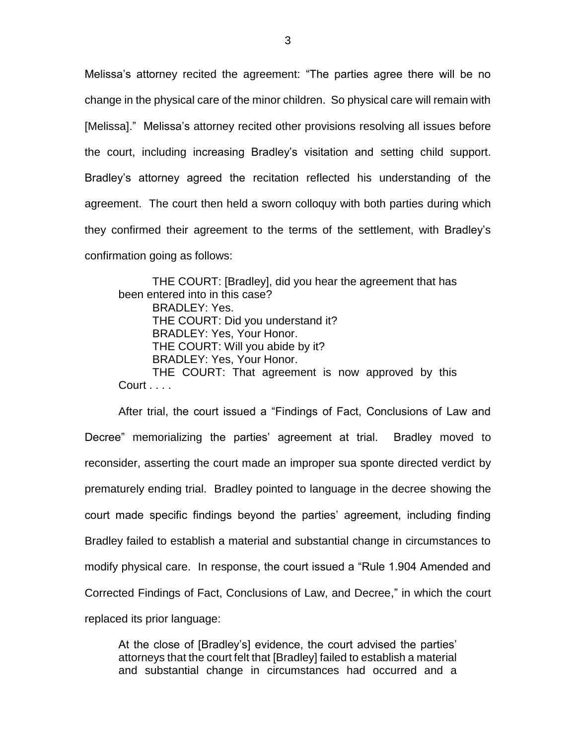Melissa's attorney recited the agreement: "The parties agree there will be no change in the physical care of the minor children. So physical care will remain with [Melissa]." Melissa's attorney recited other provisions resolving all issues before the court, including increasing Bradley's visitation and setting child support. Bradley's attorney agreed the recitation reflected his understanding of the agreement. The court then held a sworn colloquy with both parties during which they confirmed their agreement to the terms of the settlement, with Bradley's confirmation going as follows:

THE COURT: [Bradley], did you hear the agreement that has been entered into in this case? BRADLEY: Yes. THE COURT: Did you understand it? BRADLEY: Yes, Your Honor. THE COURT: Will you abide by it? BRADLEY: Yes, Your Honor. THE COURT: That agreement is now approved by this Court . . . .

After trial, the court issued a "Findings of Fact, Conclusions of Law and Decree" memorializing the parties' agreement at trial. Bradley moved to reconsider, asserting the court made an improper sua sponte directed verdict by prematurely ending trial. Bradley pointed to language in the decree showing the court made specific findings beyond the parties' agreement, including finding Bradley failed to establish a material and substantial change in circumstances to modify physical care. In response, the court issued a "Rule 1.904 Amended and Corrected Findings of Fact, Conclusions of Law, and Decree," in which the court replaced its prior language:

At the close of [Bradley's] evidence, the court advised the parties' attorneys that the court felt that [Bradley] failed to establish a material and substantial change in circumstances had occurred and a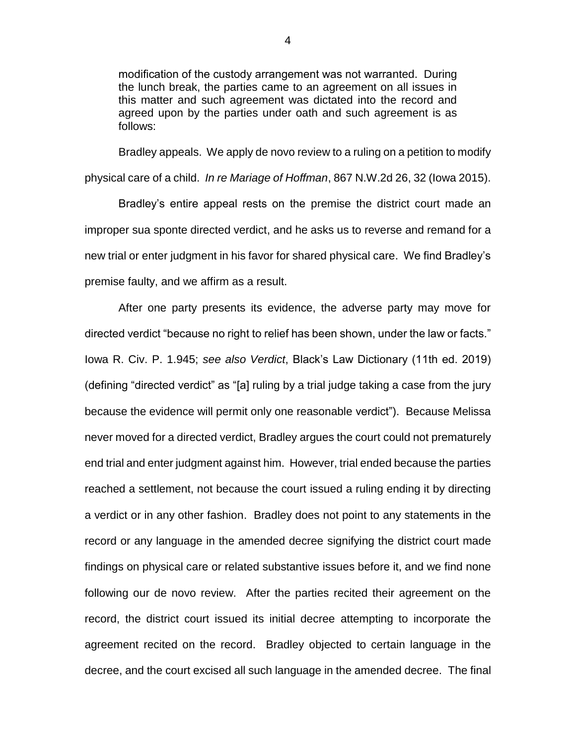modification of the custody arrangement was not warranted. During the lunch break, the parties came to an agreement on all issues in this matter and such agreement was dictated into the record and agreed upon by the parties under oath and such agreement is as follows:

Bradley appeals. We apply de novo review to a ruling on a petition to modify physical care of a child. *In re Mariage of Hoffman*, 867 N.W.2d 26, 32 (Iowa 2015).

Bradley's entire appeal rests on the premise the district court made an improper sua sponte directed verdict, and he asks us to reverse and remand for a new trial or enter judgment in his favor for shared physical care. We find Bradley's premise faulty, and we affirm as a result.

After one party presents its evidence, the adverse party may move for directed verdict "because no right to relief has been shown, under the law or facts." Iowa R. Civ. P. 1.945; *see also Verdict*, Black's Law Dictionary (11th ed. 2019) (defining "directed verdict" as "[a] ruling by a trial judge taking a case from the jury because the evidence will permit only one reasonable verdict"). Because Melissa never moved for a directed verdict, Bradley argues the court could not prematurely end trial and enter judgment against him. However, trial ended because the parties reached a settlement, not because the court issued a ruling ending it by directing a verdict or in any other fashion. Bradley does not point to any statements in the record or any language in the amended decree signifying the district court made findings on physical care or related substantive issues before it, and we find none following our de novo review. After the parties recited their agreement on the record, the district court issued its initial decree attempting to incorporate the agreement recited on the record. Bradley objected to certain language in the decree, and the court excised all such language in the amended decree. The final